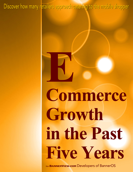Discover how many retailers approach catering to the mobile shopper

## Commerce Growth in the Past Five Years

from BANNERVIEW.COM Developers of BannerOS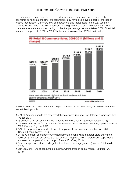## E-commerce Growth in the Past Five Years

Five years ago, consumers moved at a different pace. It may have been related to the economic downturn at the time, but technology may have also played a part (or the lack of today's technology). Currently, 87% of smartphone and tablet users in the U.S. use their devices for shopping. This would account for the growth we've seen in e-commerce (or mcommerce as well). Almost achieving double the percentage, e-comm takes 6.2% of the total revenue, compared to 3.8% in 2009. That equates to more than \$37 billion in sales.



If we surmise that mobile usage had helped increase online purchases, it would be attributed to the following statistics:

- 56% of American adults are now smartphone owners. (Source: Pew Internet & American Life Project, 2013)
- 75 percent of Americans bring their phones to the bathroom. (Source: Digiday, 2013)
- Mobile now accounts for 12 percent of Americans' media consumption time, triple its share in 2009. (Source: Digiday, 2013)
- 27% of companies worldwide planned to implement location-based marketing in 2013. (Source: Econsultancy, 2013)
- Of the 70 percent of shoppers who used a mobile phone while in a retail store during the holidays, 62 percent accessed that store's site or app and only 37 percent of respondents accessed a competitor's site or app.. (Source: ForeSee, 2013)
- Retailers' apps with store mode gather five times more engagement. (Source: Point Inside, 2013)
- Last year, only 12% of consumers bought anything through social media. (Source: PwC, 2013)